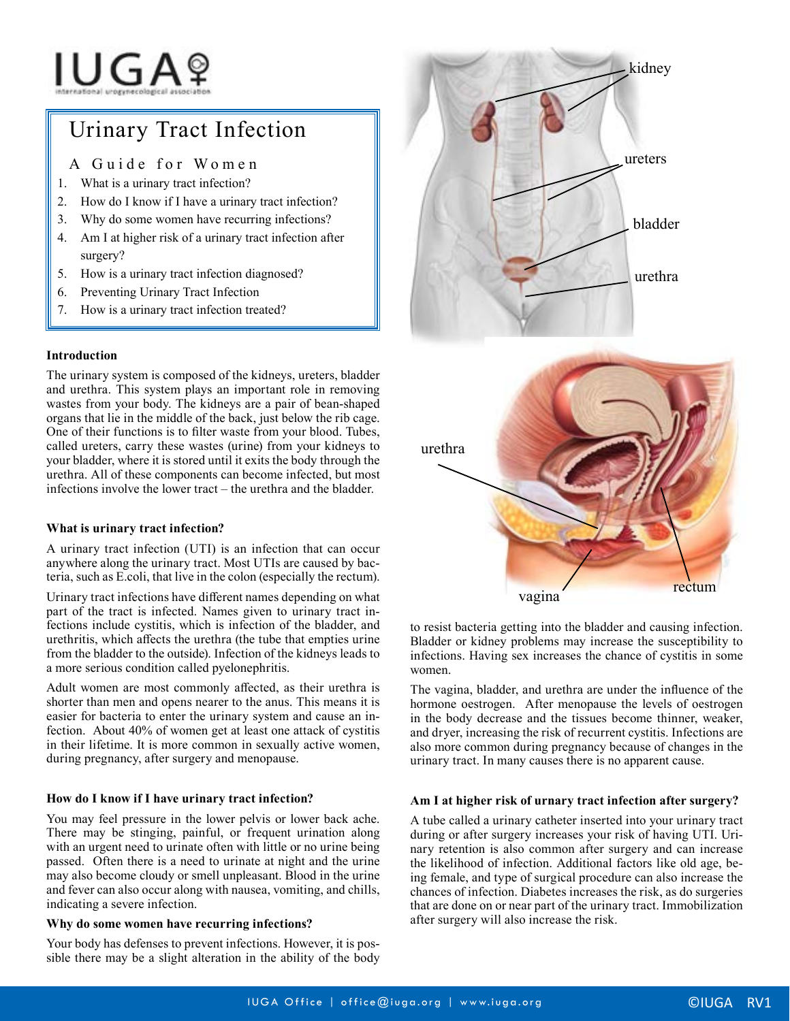# IUGAº

# Urinary Tract Infection

A Guide for Women

- 1. What is a urinary tract infection?
- 2. How do I know if I have a urinary tract infection?
- 3. Why do some women have recurring infections?
- 4. Am I at higher risk of a urinary tract infection after surgery?
- 5. How is a urinary tract infection diagnosed?
- 6. Preventing Urinary Tract Infection
- 7. How is a urinary tract infection treated?

#### **Introduction**

The urinary system is composed of the kidneys, ureters, bladder and urethra. This system plays an important role in removing wastes from your body. The kidneys are a pair of bean-shaped organs that lie in the middle of the back, just below the rib cage. One of their functions is to filter waste from your blood. Tubes, called ureters, carry these wastes (urine) from your kidneys to your bladder, where it is stored until it exits the body through the urethra. All of these components can become infected, but most infections involve the lower tract – the urethra and the bladder.

# **What is urinary tract infection?**

A urinary tract infection (UTI) is an infection that can occur anywhere along the urinary tract. Most UTIs are caused by bacteria, such as E.coli, that live in the colon (especially the rectum).

Urinary tract infections have different names depending on what part of the tract is infected. Names given to urinary tract infections include cystitis, which is infection of the bladder, and urethritis, which affects the urethra (the tube that empties urine from the bladder to the outside). Infection of the kidneys leads to a more serious condition called pyelonephritis.

Adult women are most commonly affected, as their urethra is shorter than men and opens nearer to the anus. This means it is easier for bacteria to enter the urinary system and cause an infection. About 40% of women get at least one attack of cystitis in their lifetime. It is more common in sexually active women, during pregnancy, after surgery and menopause.

# **How do I know if I have urinary tract infection?**

You may feel pressure in the lower pelvis or lower back ache. There may be stinging, painful, or frequent urination along with an urgent need to urinate often with little or no urine being passed. Often there is a need to urinate at night and the urine may also become cloudy or smell unpleasant. Blood in the urine and fever can also occur along with nausea, vomiting, and chills, indicating a severe infection.

# **Why do some women have recurring infections?**

Your body has defenses to prevent infections. However, it is possible there may be a slight alteration in the ability of the body



vagina rectum

urethra

to resist bacteria getting into the bladder and causing infection. Bladder or kidney problems may increase the susceptibility to infections. Having sex increases the chance of cystitis in some women.

The vagina, bladder, and urethra are under the influence of the hormone oestrogen. After menopause the levels of oestrogen in the body decrease and the tissues become thinner, weaker, and dryer, increasing the risk of recurrent cystitis. Infections are also more common during pregnancy because of changes in the urinary tract. In many causes there is no apparent cause.

# **Am I at higher risk of urnary tract infection after surgery?**

A tube called a urinary catheter inserted into your urinary tract during or after surgery increases your risk of having UTI. Urinary retention is also common after surgery and can increase the likelihood of infection. Additional factors like old age, being female, and type of surgical procedure can also increase the chances of infection. Diabetes increases the risk, as do surgeries that are done on or near part of the urinary tract. Immobilization after surgery will also increase the risk.